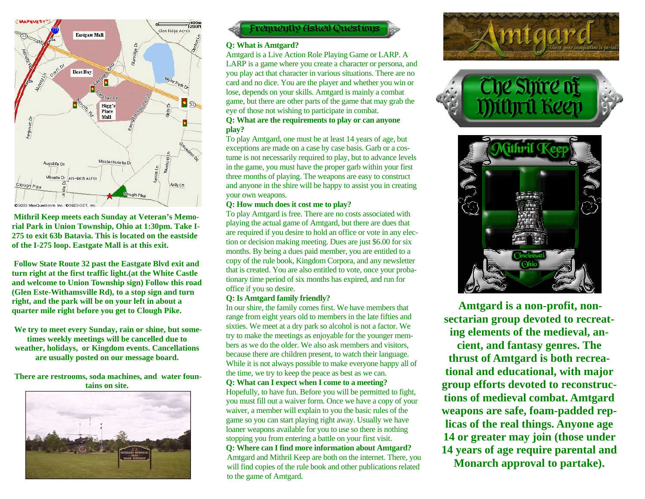

**Mithril Keep meets each Sunday at Veteran's Memorial Park in Union Township, Ohio at 1:30pm. Take I-275 to exit 63b Batavia. This is located on the eastside of the I-275 loop. Eastgate Mall is at this exit.** 

**Follow State Route 32 past the Eastgate Blvd exit and turn right at the first traffic light.(at the White Castle and welcome to Union Township sign) Follow this road (Glen Este-Withamsville Rd), to a stop sign and turn right, and the park will be on your left in about a quarter mile right before you get to Clough Pike.** 

**We try to meet every Sunday, rain or shine, but sometimes weekly meetings will be cancelled due to weather, holidays, or Kingdom events. Cancellations are usually posted on our message board.** 

**There are restrooms, soda machines, and water fountains on site.** 





## **Q: What is Amtgard?**

Amtgard is a Live Action Role Playing Game or LARP. A LARP is a game where you create a character or persona, and you play act that character in various situations. There are no card and no dice. You are the player and whether you win or lose, depends on your skills. Amtgard is mainly a combat game, but there are other parts of the game that may grab the eye of those not wishing to participate in combat. **Q: What are the requirements to play or can anyone play?** 

To play Amtgard, one must be at least 14 years of age, but exceptions are made on a case by case basis. Garb or a costume is not necessarily required to play, but to advance levels in the game, you must have the proper garb within your first three months of playing. The weapons are easy to construct and anyone in the shire will be happy to assist you in creating your own weapons.

## **Q: How much does it cost me to play?**

To play Amtgard is free. There are no costs associated with playing the actual game of Amtgard, but there are dues that are required if you desire to hold an office or vote in any election or decision making meeting. Dues are just \$6.00 for six months. By being a dues paid member, you are entitled to a copy of the rule book, Kingdom Corpora, and any newsletter that is created. You are also entitled to vote, once your probationary time period of six months has expired, and run for office if you so desire.

## **Q: Is Amtgard family friendly?**

In our shire, the family comes first. We have members that range from eight years old to members in the late fifties and sixties. We meet at a dry park so alcohol is not a factor. We try to make the meetings as enjoyable for the younger members as we do the older. We also ask members and visitors, because there are children present, to watch their language. While it is not always possible to make everyone happy all of the time, we try to keep the peace as best as we can. **Q: What can I expect when I come to a meeting?** 

Hopefully, to have fun. Before you will be permitted to fight, you must fill out a waiver form. Once we have a copy of your waiver, a member will explain to you the basic rules of the game so you can start playing right away. Usually we have loaner weapons available for you to use so there is nothing stopping you from entering a battle on your first visit.

**Q: Where can I find more information about Amtgard?**  Amtgard and Mithril Keep are both on the internet. There, you will find copies of the rule book and other publications related to the game of Amtgard.







**Amtgard is a non-profit, nonsectarian group devoted to recreating elements of the medieval, ancient, and fantasy genres. The thrust of Amtgard is both recreational and educational, with major group efforts devoted to reconstructions of medieval combat. Amtgard weapons are safe, foam-padded replicas of the real things. Anyone age 14 or greater may join (those under 14 years of age require parental and Monarch approval to partake).**